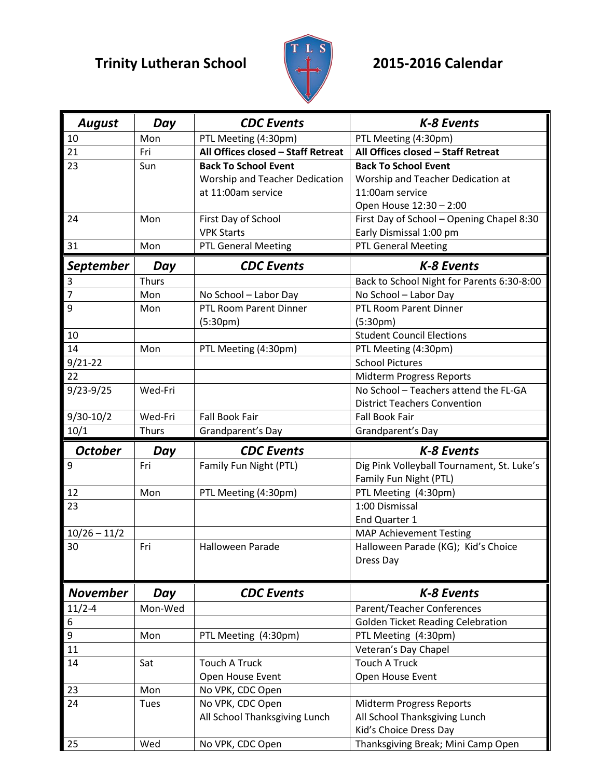## **Trinity Lutheran School 2015-2016 Calendar**



| <b>August</b>   | Day          | <b>CDC</b> Events                  | K-8 Events                                 |
|-----------------|--------------|------------------------------------|--------------------------------------------|
| 10              | Mon          | PTL Meeting (4:30pm)               | PTL Meeting (4:30pm)                       |
| 21              | Fri          | All Offices closed - Staff Retreat | All Offices closed - Staff Retreat         |
| 23              | Sun          | <b>Back To School Event</b>        | <b>Back To School Event</b>                |
|                 |              | Worship and Teacher Dedication     | Worship and Teacher Dedication at          |
|                 |              | at 11:00am service                 | 11:00am service                            |
|                 |              |                                    | Open House 12:30 - 2:00                    |
| 24              | Mon          | First Day of School                | First Day of School - Opening Chapel 8:30  |
|                 |              | <b>VPK Starts</b>                  | Early Dismissal 1:00 pm                    |
| 31              | Mon          | <b>PTL General Meeting</b>         | <b>PTL General Meeting</b>                 |
| September       | Day          | <b>CDC</b> Events                  | <b>K-8 Events</b>                          |
| 3               | <b>Thurs</b> |                                    | Back to School Night for Parents 6:30-8:00 |
| $\overline{7}$  | Mon          | No School - Labor Day              | No School - Labor Day                      |
| 9               | Mon          | PTL Room Parent Dinner             | <b>PTL Room Parent Dinner</b>              |
|                 |              | (5:30 <sub>pm</sub> )              | (5:30 <sub>pm</sub> )                      |
| 10              |              |                                    | <b>Student Council Elections</b>           |
| 14              | Mon          | PTL Meeting (4:30pm)               | PTL Meeting (4:30pm)                       |
| $9/21 - 22$     |              |                                    | <b>School Pictures</b>                     |
| 22              |              |                                    | Midterm Progress Reports                   |
| $9/23 - 9/25$   | Wed-Fri      |                                    | No School - Teachers attend the FL-GA      |
|                 |              |                                    | <b>District Teachers Convention</b>        |
| $9/30-10/2$     | Wed-Fri      | Fall Book Fair                     | <b>Fall Book Fair</b>                      |
| 10/1            | <b>Thurs</b> | Grandparent's Day                  | Grandparent's Day                          |
|                 |              |                                    |                                            |
|                 |              |                                    |                                            |
| <b>October</b>  | Day          | <b>CDC</b> Events                  | <b>K-8 Events</b>                          |
| 9               | Fri          | Family Fun Night (PTL)             | Dig Pink Volleyball Tournament, St. Luke's |
|                 |              |                                    | Family Fun Night (PTL)                     |
| 12              | Mon          | PTL Meeting (4:30pm)               | PTL Meeting (4:30pm)                       |
| 23              |              |                                    | 1:00 Dismissal                             |
|                 |              |                                    | End Quarter 1                              |
| $10/26 - 11/2$  |              |                                    | <b>MAP Achievement Testing</b>             |
| 30              | Fri          | Halloween Parade                   | Halloween Parade (KG); Kid's Choice        |
|                 |              |                                    | Dress Day                                  |
|                 |              |                                    |                                            |
| <b>November</b> | Day          | <b>CDC</b> Events                  | K-8 Events                                 |
| $11/2 - 4$      | Mon-Wed      |                                    | <b>Parent/Teacher Conferences</b>          |
| 6               |              |                                    | <b>Golden Ticket Reading Celebration</b>   |
| 9               | Mon          | PTL Meeting (4:30pm)               | PTL Meeting (4:30pm)                       |
| 11              |              |                                    | Veteran's Day Chapel                       |
| 14              | Sat          | <b>Touch A Truck</b>               | <b>Touch A Truck</b>                       |
|                 |              | Open House Event                   | Open House Event                           |
| 23              | Mon          | No VPK, CDC Open                   |                                            |
| 24              | <b>Tues</b>  | No VPK, CDC Open                   | Midterm Progress Reports                   |
|                 |              | All School Thanksgiving Lunch      | All School Thanksgiving Lunch              |
|                 |              |                                    | Kid's Choice Dress Day                     |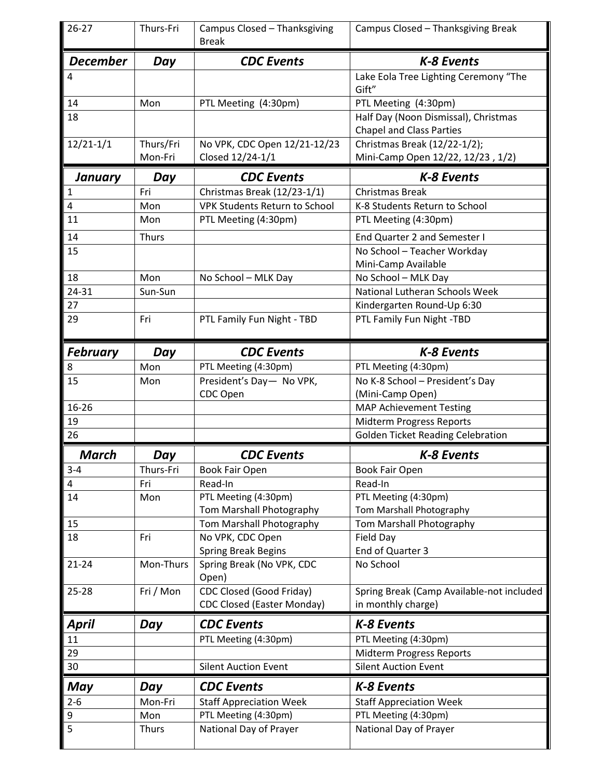| $26 - 27$       | Thurs-Fri            | Campus Closed - Thanksgiving<br><b>Break</b>     | Campus Closed - Thanksgiving Break                                      |
|-----------------|----------------------|--------------------------------------------------|-------------------------------------------------------------------------|
| <b>December</b> | Day                  | <b>CDC</b> Events                                | <b>K-8 Events</b>                                                       |
| 4               |                      |                                                  | Lake Eola Tree Lighting Ceremony "The<br>Gift"                          |
| 14              | Mon                  | PTL Meeting (4:30pm)                             | PTL Meeting (4:30pm)                                                    |
| 18              |                      |                                                  | Half Day (Noon Dismissal), Christmas<br><b>Chapel and Class Parties</b> |
| $12/21-1/1$     | Thurs/Fri<br>Mon-Fri | No VPK, CDC Open 12/21-12/23<br>Closed 12/24-1/1 | Christmas Break (12/22-1/2);<br>Mini-Camp Open 12/22, 12/23, 1/2)       |
| January         | Day                  | <b>CDC</b> Events                                | <b>K-8 Events</b>                                                       |
| 1               | Fri                  | Christmas Break (12/23-1/1)                      | <b>Christmas Break</b>                                                  |
| 4               | Mon                  | <b>VPK Students Return to School</b>             | K-8 Students Return to School                                           |
| 11              | Mon                  | PTL Meeting (4:30pm)                             | PTL Meeting (4:30pm)                                                    |
| 14              | Thurs                |                                                  | End Quarter 2 and Semester I                                            |
| 15              |                      |                                                  | No School - Teacher Workday                                             |
|                 |                      |                                                  | Mini-Camp Available                                                     |
| 18              | Mon                  | No School - MLK Day                              | No School - MLK Day                                                     |
| 24-31           | Sun-Sun              |                                                  | National Lutheran Schools Week                                          |
| 27              |                      |                                                  | Kindergarten Round-Up 6:30                                              |
| 29              | Fri                  | PTL Family Fun Night - TBD                       | PTL Family Fun Night -TBD                                               |
| <b>February</b> | Day                  | <b>CDC</b> Events                                | <b>K-8 Events</b>                                                       |
| 8               | Mon                  | PTL Meeting (4:30pm)                             | PTL Meeting (4:30pm)                                                    |
| 15              | Mon                  | President's Day- No VPK,                         | No K-8 School - President's Day                                         |
|                 |                      | CDC Open                                         | (Mini-Camp Open)                                                        |
| 16-26           |                      |                                                  | <b>MAP Achievement Testing</b>                                          |
| 19              |                      |                                                  | Midterm Progress Reports                                                |
| 26              |                      |                                                  | <b>Golden Ticket Reading Celebration</b>                                |
| <b>March</b>    | Day                  | <b>CDC</b> Events                                | K-8 Events                                                              |
| $3 - 4$         | Thurs-Fri            | <b>Book Fair Open</b>                            | <b>Book Fair Open</b>                                                   |
| 4               | Fri                  | Read-In                                          | Read-In                                                                 |
| 14              | Mon                  | PTL Meeting (4:30pm)                             | PTL Meeting (4:30pm)                                                    |
|                 |                      | Tom Marshall Photography                         | Tom Marshall Photography                                                |
| 15<br>18        | Fri                  | Tom Marshall Photography                         | Tom Marshall Photography                                                |
|                 |                      | No VPK, CDC Open<br><b>Spring Break Begins</b>   | Field Day<br>End of Quarter 3                                           |
| $21 - 24$       | Mon-Thurs            | Spring Break (No VPK, CDC<br>Open)               | No School                                                               |
| 25-28           | Fri / Mon            | CDC Closed (Good Friday)                         | Spring Break (Camp Available-not included                               |
|                 |                      | <b>CDC Closed (Easter Monday)</b>                | in monthly charge)                                                      |
| April           | Day                  | <b>CDC</b> Events                                | <b>K-8 Events</b>                                                       |
| 11              |                      | PTL Meeting (4:30pm)                             | PTL Meeting (4:30pm)                                                    |
| 29              |                      |                                                  | Midterm Progress Reports                                                |
| 30              |                      | <b>Silent Auction Event</b>                      | <b>Silent Auction Event</b>                                             |
| May             | Day                  | <b>CDC</b> Events                                | <b>K-8 Events</b>                                                       |
| $2 - 6$         | Mon-Fri              | <b>Staff Appreciation Week</b>                   | <b>Staff Appreciation Week</b>                                          |
| 9               | Mon                  | PTL Meeting (4:30pm)                             | PTL Meeting (4:30pm)                                                    |
| 5               | <b>Thurs</b>         | National Day of Prayer                           | National Day of Prayer                                                  |